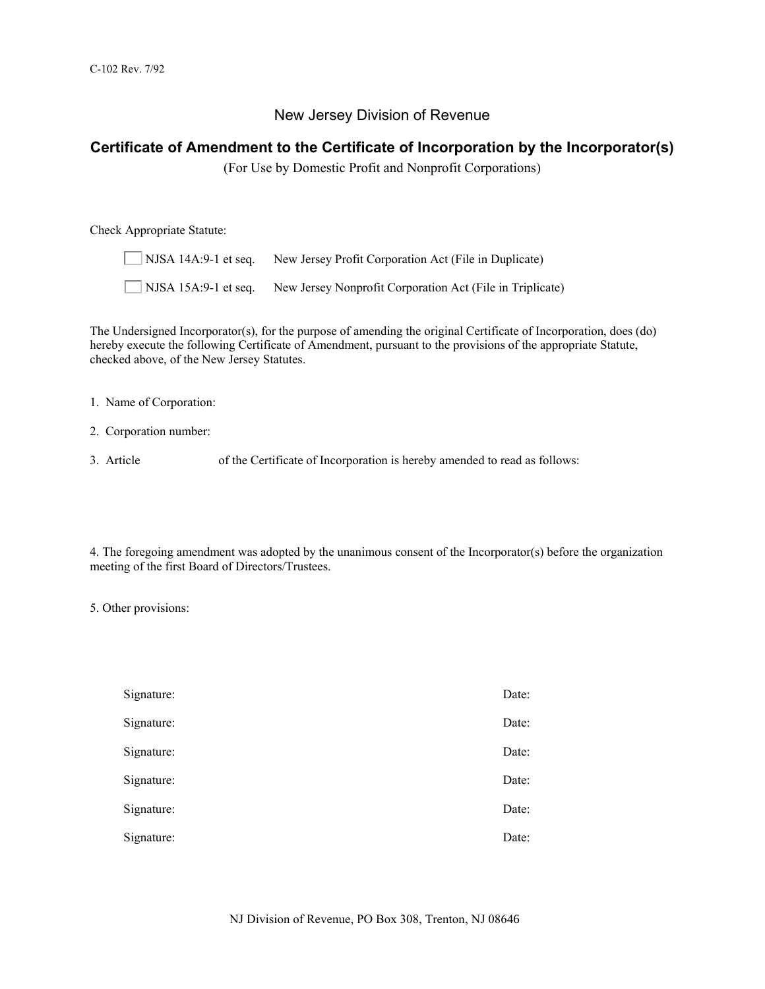# New Jersey Division of Revenue

# **Certificate of Amendment to the Certificate of Incorporation by the Incorporator(s)**

(For Use by Domestic Profit and Nonprofit Corporations)

Check Appropriate Statute:

| $NISA$ 14A:9-1 et seq. | New Jersey Profit Corporation Act (File in Duplicate)     |
|------------------------|-----------------------------------------------------------|
| $NISA$ 15A:9-1 et seq. | New Jersey Nonprofit Corporation Act (File in Triplicate) |

The Undersigned Incorporator(s), for the purpose of amending the original Certificate of Incorporation, does (do) hereby execute the following Certificate of Amendment, pursuant to the provisions of the appropriate Statute, checked above, of the New Jersey Statutes.

1. Name of Corporation:

- 2. Corporation number:
- 3. Article of the Certificate of Incorporation is hereby amended to read as follows:

4. The foregoing amendment was adopted by the unanimous consent of the Incorporator(s) before the organization meeting of the first Board of Directors/Trustees.

5. Other provisions:

| Signature: | Date: |
|------------|-------|
| Signature: | Date: |
| Signature: | Date: |
| Signature: | Date: |
| Signature: | Date: |
| Signature: | Date: |